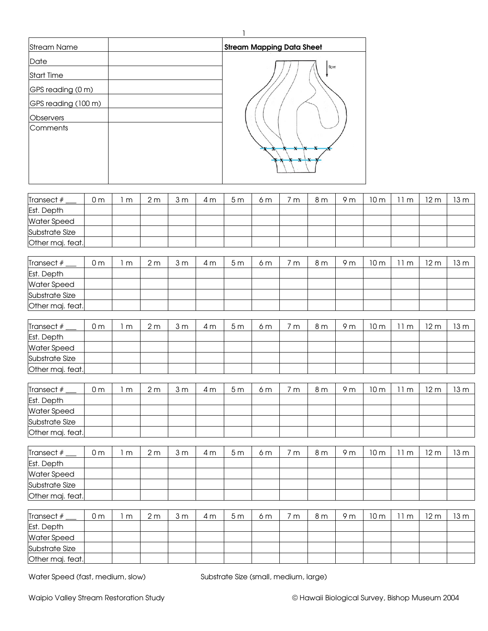| <b>Stream Name</b>  | <b>Stream Mapping Data Sheet</b> |
|---------------------|----------------------------------|
| Date                |                                  |
| <b>Start Time</b>   | flow                             |
| GPS reading (0 m)   |                                  |
| GPS reading (100 m) |                                  |
| <b>Observers</b>    |                                  |
| Comments            |                                  |
|                     |                                  |
|                     | $\mathbf{x}$                     |
|                     |                                  |
|                     |                                  |

| Transect #         | 0 m | m | 2 <sub>m</sub> | 3 <sub>m</sub> | 4 m | 5 <sub>m</sub> | 6 m | 'n | 8 <sub>m</sub> | 9 <sub>m</sub> | 10 m | 11m  | 12 <sub>m</sub> | 13 m |
|--------------------|-----|---|----------------|----------------|-----|----------------|-----|----|----------------|----------------|------|------|-----------------|------|
| Est. Depth         |     |   |                |                |     |                |     |    |                |                |      |      |                 |      |
| <b>Water Speed</b> |     |   |                |                |     |                |     |    |                |                |      |      |                 |      |
| Substrate Size     |     |   |                |                |     |                |     |    |                |                |      |      |                 |      |
| Other maj. feat.   |     |   |                |                |     |                |     |    |                |                |      |      |                 |      |
|                    |     |   |                |                |     |                |     |    |                |                |      |      |                 |      |
|                    |     |   |                |                |     |                |     |    |                |                | .    | $ -$ |                 |      |

1

| Transect #         | 0 <sub>m</sub> | m | 2 <sub>m</sub> | 3 <sub>m</sub> | 4 m | 5 <sub>m</sub> | 6 m | m | 8 <sub>m</sub> | 9 <sub>m</sub> | 10 <sub>m</sub> | l m | 12 <sub>m</sub> | 13 m   |
|--------------------|----------------|---|----------------|----------------|-----|----------------|-----|---|----------------|----------------|-----------------|-----|-----------------|--------|
| Est. Depth         |                |   |                |                |     |                |     |   |                |                |                 |     |                 |        |
| <b>Water Speed</b> |                |   |                |                |     |                |     |   |                |                |                 |     |                 |        |
| Substrate Size     |                |   |                |                |     |                |     |   |                |                |                 |     |                 |        |
| Other maj. feat.   |                |   |                |                |     |                |     |   |                |                |                 |     |                 |        |
|                    |                |   |                |                |     |                |     |   |                |                |                 |     |                 |        |
| Transect $#$       | 0 <sub>m</sub> | m | 2 <sub>m</sub> | 3 <sub>m</sub> | 4 m | 5 <sub>m</sub> | 6 m | m | 8 m            | 9 m            | 10 <sub>m</sub> | m   | 12 <sub>m</sub> | 13 m l |
|                    |                |   |                |                |     |                |     |   |                |                |                 |     |                 |        |

| Est. Depth         |  |  |  |  |  |  |  |
|--------------------|--|--|--|--|--|--|--|
| <b>Water Speed</b> |  |  |  |  |  |  |  |
| Substrate Size     |  |  |  |  |  |  |  |
| Other maj. feat.   |  |  |  |  |  |  |  |

| Transect $#$     | 0 <sub>m</sub> | m | 2m | 3 <sub>m</sub> | 4 m | 5 <sub>m</sub> | 6 m | 7m | 8 m | 9 <sub>m</sub> | 10 <sub>m</sub> | 11m | 12 m | 13m |
|------------------|----------------|---|----|----------------|-----|----------------|-----|----|-----|----------------|-----------------|-----|------|-----|
| Est. Depth       |                |   |    |                |     |                |     |    |     |                |                 |     |      |     |
| Water Speed      |                |   |    |                |     |                |     |    |     |                |                 |     |      |     |
| Substrate Size   |                |   |    |                |     |                |     |    |     |                |                 |     |      |     |
| Other maj. feat. |                |   |    |                |     |                |     |    |     |                |                 |     |      |     |

| Transect $#$       | 0 <sub>m</sub> | m | 2 <sub>m</sub> | 3 <sub>m</sub> | 4 m | 5m | 6 m | 7m | 8 <sub>m</sub> | 9 m | 10 m | 11m | 12 <sub>m</sub> | 13 m |
|--------------------|----------------|---|----------------|----------------|-----|----|-----|----|----------------|-----|------|-----|-----------------|------|
| Est. Depth         |                |   |                |                |     |    |     |    |                |     |      |     |                 |      |
| <b>Water Speed</b> |                |   |                |                |     |    |     |    |                |     |      |     |                 |      |
| Substrate Size     |                |   |                |                |     |    |     |    |                |     |      |     |                 |      |
| Other maj. feat.   |                |   |                |                |     |    |     |    |                |     |      |     |                 |      |

| Transect #         | 0 <sub>m</sub> | m | 2 <sub>m</sub> | 3 <sub>m</sub> | 4 m | 5 <sub>m</sub> | 6 m | 7m | 8 <sub>m</sub> | 9 <sub>m</sub> | 10 <sub>m</sub> | m | 12 m | 13 m |
|--------------------|----------------|---|----------------|----------------|-----|----------------|-----|----|----------------|----------------|-----------------|---|------|------|
| Est. Depth         |                |   |                |                |     |                |     |    |                |                |                 |   |      |      |
| <b>Water Speed</b> |                |   |                |                |     |                |     |    |                |                |                 |   |      |      |
| Substrate Size     |                |   |                |                |     |                |     |    |                |                |                 |   |      |      |
| Other maj. feat.   |                |   |                |                |     |                |     |    |                |                |                 |   |      |      |

Water Speed (fast, medium, slow) Substrate Size (small, medium, large)